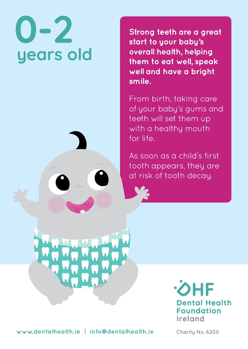## years old

**Strong teeth are a great start to your baby's overall health, helping them to eat well, speak well and have a bright smile.**

From birth, taking care of your baby's gums and teeth will set them up with a healthy mouth for life.

As soon as a child's first tooth appears, they are at risk of tooth decay.



**www.dentalhealth.ie | info@dentalhealth.ie** Charity No. 6200